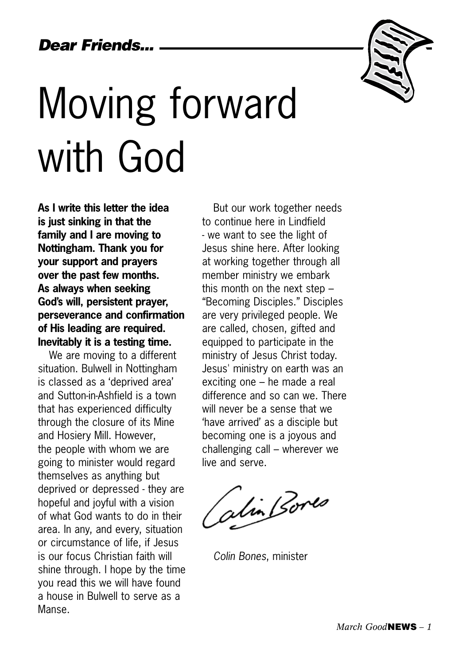

# Moving forward with God

**As I write this letter the idea is just sinking in that the family and I are moving to Nottingham. Thank you for your support and prayers over the past few months. As always when seeking God's will, persistent prayer, perseverance and confirmation of His leading are required. Inevitably it is a testing time.**

We are moving to a different situation. Bulwell in Nottingham is classed as a 'deprived area' and Sutton-in-Ashfield is a town that has experienced difficulty through the closure of its Mine and Hosiery Mill. However, the people with whom we are going to minister would regard themselves as anything but deprived or depressed - they are hopeful and joyful with a vision of what God wants to do in their area. In any, and every, situation or circumstance of life, if Jesus is our focus Christian faith will shine through. I hope by the time you read this we will have found a house in Bulwell to serve as a Manse.

But our work together needs to continue here in Lindfield - we want to see the light of Jesus shine here. After looking at working together through all member ministry we embark this month on the next step – "Becoming Disciples." Disciples are very privileged people. We are called, chosen, gifted and equipped to participate in the ministry of Jesus Christ today. Jesus' ministry on earth was an exciting one – he made a real difference and so can we. There will never be a sense that we 'have arrived' as a disciple but becoming one is a joyous and challenging call – wherever we live and serve.

alin Bores

*Colin Bones*, minister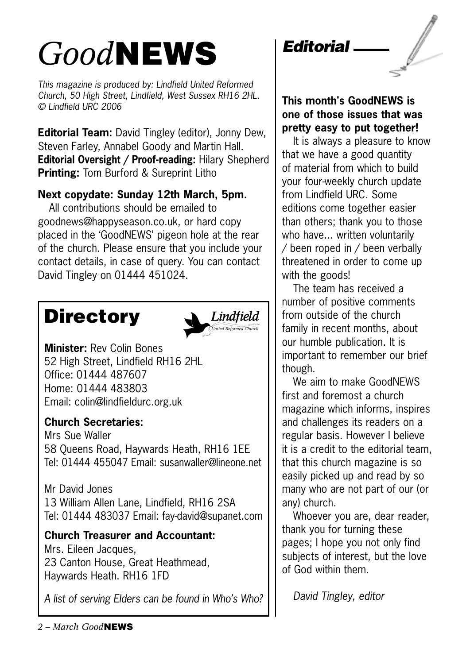## *Good*NEWS

*This magazine is produced by: Lindfield United Reformed Church, 50 High Street, Lindfield, West Sussex RH16 2HL. © Lindfield URC 2006*

**Editorial Team:** David Tingley (editor), Jonny Dew, Steven Farley, Annabel Goody and Martin Hall. **Editorial Oversight / Proof-reading:** Hilary Shepherd **Printing:** Tom Burford & Sureprint Litho

## **Next copydate: Sunday 12th March, 5pm.**

All contributions should be emailed to goodnews@happyseason.co.uk, or hard copy placed in the 'GoodNEWS' pigeon hole at the rear of the church. Please ensure that you include your contact details, in case of query. You can contact David Tingley on 01444 451024.

## **Directory**



**Minister:** Rev Colin Bones 52 High Street, Lindfield RH16 2HL Office: 01444 487607 Home: 01444 483803 Email: colin@lindfieldurc.org.uk

## **Church Secretaries:**

Mrs Sue Waller 58 Queens Road, Haywards Heath, RH16 1EE Tel: 01444 455047 Email: susanwaller@lineone.net

Mr David Jones 13 William Allen Lane, Lindfield, RH16 2SA Tel: 01444 483037 Email: fay-david@supanet.com

## **Church Treasurer and Accountant:**

Mrs. Eileen Jacques, 23 Canton House, Great Heathmead, Haywards Heath. RH16 1FD

*A list of serving Elders can be found in Who's Who?*



### **This month's GoodNEWS is one of those issues that was pretty easy to put together!**

It is always a pleasure to know that we have a good quantity of material from which to build your four-weekly church update from Lindfield URC. Some editions come together easier than others; thank you to those who have... written voluntarily / been roped in / been verbally threatened in order to come up with the goods!

The team has received a number of positive comments from outside of the church family in recent months, about our humble publication. It is important to remember our brief though.

We aim to make GoodNEWS first and foremost a church magazine which informs, inspires and challenges its readers on a regular basis. However I believe it is a credit to the editorial team, that this church magazine is so easily picked up and read by so many who are not part of our (or any) church.

Whoever you are, dear reader, thank you for turning these pages; I hope you not only find subjects of interest, but the love of God within them.

*David Tingley, editor*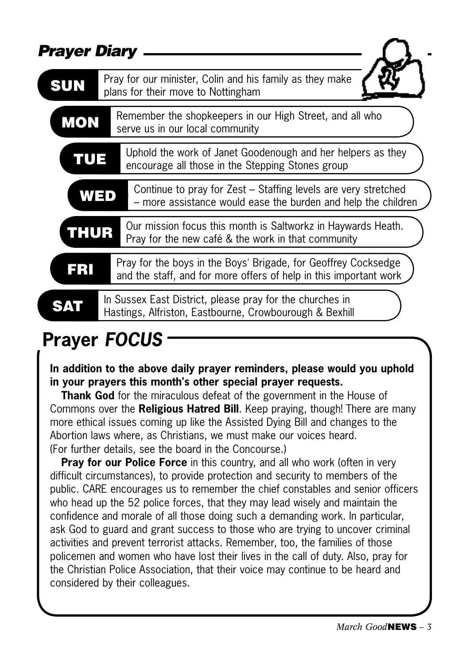| <b>Prayer Diary</b> |                                                                                                                                     |
|---------------------|-------------------------------------------------------------------------------------------------------------------------------------|
| SUN                 | Pray for our minister, Colin and his family as they make<br>plans for their move to Nottingham                                      |
| <b>MON</b>          | Remember the shopkeepers in our High Street, and all who<br>serve us in our local community                                         |
| TUE                 | Uphold the work of Janet Goodenough and her helpers as they<br>encourage all those in the Stepping Stones group                     |
| WED                 | Continue to pray for Zest – Staffing levels are very stretched<br>- more assistance would ease the burden and help the children     |
| THUR                | Our mission focus this month is Saltworkz in Haywards Heath.<br>Pray for the new café & the work in that community                  |
|                     | Pray for the boys in the Boys' Brigade, for Geoffrey Cocksedge<br>and the staff, and for more offers of help in this important work |
|                     | In Sussex East District, please pray for the churches in<br>Hastings, Alfriston, Eastbourne, Crowbourough & Bexhill                 |
|                     |                                                                                                                                     |

## **Prayer** *FOCUS*

### **In addition to the above daily prayer reminders, please would you uphold in your prayers this month's other special prayer requests.**

**Thank God** for the miraculous defeat of the government in the House of Commons over the **Religious Hatred Bill**. Keep praying, though! There are many more ethical issues coming up like the Assisted Dying Bill and changes to the Abortion laws where, as Christians, we must make our voices heard. (For further details, see the board in the Concourse.)

**Pray for our Police Force** in this country, and all who work (often in very difficult circumstances), to provide protection and security to members of the public. CARE encourages us to remember the chief constables and senior officers who head up the 52 police forces, that they may lead wisely and maintain the confidence and morale of all those doing such a demanding work. In particular, ask God to guard and grant success to those who are trying to uncover criminal activities and prevent terrorist attacks. Remember, too, the families of those policemen and women who have lost their lives in the call of duty. Also, pray for the Christian Police Association, that their voice may continue to be heard and considered by their colleagues.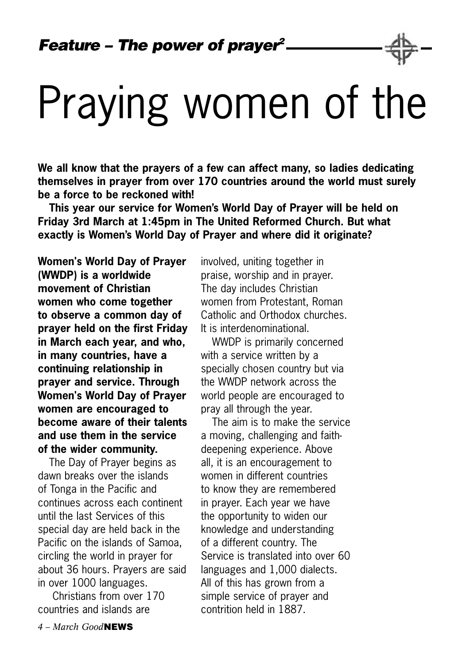# Praying women of the

**We all know that the prayers of a few can affect many, so ladies dedicating themselves in prayer from over 170 countries around the world must surely be a force to be reckoned with!**

**This year our service for Women's World Day of Prayer will be held on Friday 3rd March at 1:45pm in The United Reformed Church. But what exactly is Women's World Day of Prayer and where did it originate?**

**Women's World Day of Prayer (WWDP) is a worldwide movement of Christian women who come together to observe a common day of prayer held on the first Friday in March each year, and who, in many countries, have a continuing relationship in prayer and service. Through Women's World Day of Prayer women are encouraged to become aware of their talents and use them in the service of the wider community.** 

The Day of Prayer begins as dawn breaks over the islands of Tonga in the Pacific and continues across each continent until the last Services of this special day are held back in the Pacific on the islands of Samoa, circling the world in prayer for about 36 hours. Prayers are said in over 1000 languages.

 Christians from over 170 countries and islands are

involved, uniting together in praise, worship and in prayer. The day includes Christian women from Protestant, Roman Catholic and Orthodox churches. It is interdenominational.

WWDP is primarily concerned with a service written by a specially chosen country but via the WWDP network across the world people are encouraged to pray all through the year.

The aim is to make the service a moving, challenging and faithdeepening experience. Above all, it is an encouragement to women in different countries to know they are remembered in prayer. Each year we have the opportunity to widen our knowledge and understanding of a different country. The Service is translated into over 60 languages and 1,000 dialects. All of this has grown from a simple service of prayer and contrition held in 1887.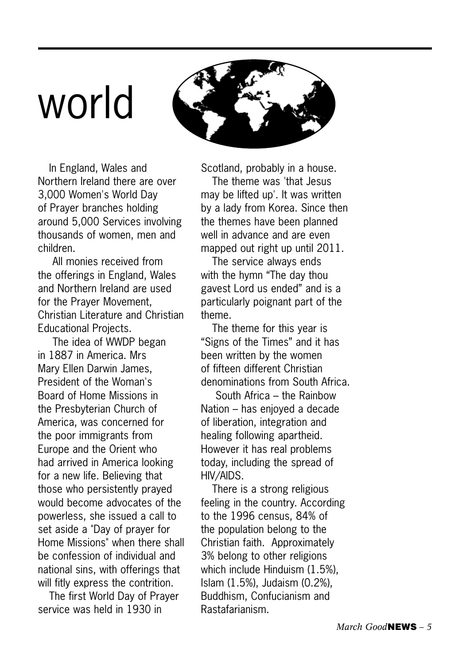# world



In England, Wales and Northern Ireland there are over 3,000 Women's World Day of Prayer branches holding around 5,000 Services involving thousands of women, men and children.

 All monies received from the offerings in England, Wales and Northern Ireland are used for the Prayer Movement, Christian Literature and Christian Educational Projects.

 The idea of WWDP began in 1887 in America. Mrs Mary Ellen Darwin James, President of the Woman's Board of Home Missions in the Presbyterian Church of America, was concerned for the poor immigrants from Europe and the Orient who had arrived in America looking for a new life. Believing that those who persistently prayed would become advocates of the powerless, she issued a call to set aside a "Day of prayer for Home Missions" when there shall be confession of individual and national sins, with offerings that will fitly express the contrition.

The first World Day of Prayer service was held in 1930 in

Scotland, probably in a house.

The theme was 'that Jesus may be lifted up'. It was written by a lady from Korea. Since then the themes have been planned well in advance and are even mapped out right up until 2011.

The service always ends with the hymn "The day thou gavest Lord us ended" and is a particularly poignant part of the theme.

The theme for this year is "Signs of the Times" and it has been written by the women of fifteen different Christian denominations from South Africa.

 South Africa – the Rainbow Nation – has enjoyed a decade of liberation, integration and healing following apartheid. However it has real problems today, including the spread of HIV/AIDS.

There is a strong religious feeling in the country. According to the 1996 census, 84% of the population belong to the Christian faith. Approximately 3% belong to other religions which include Hinduism (1.5%), Islam (1.5%), Judaism (0.2%), Buddhism, Confucianism and Rastafarianism.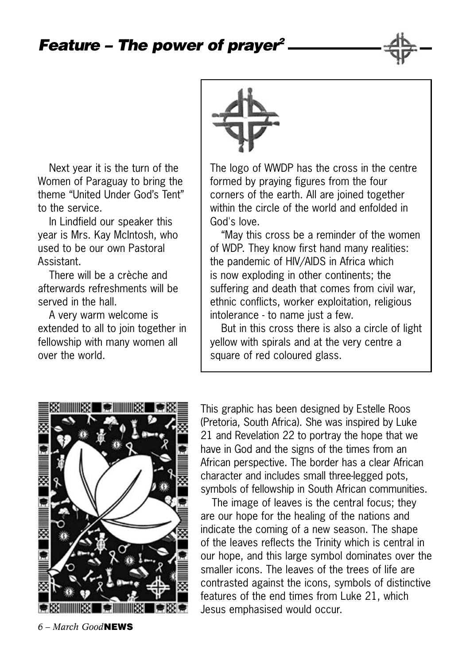Next year it is the turn of the Women of Paraguay to bring the theme "United Under God's Tent" to the service.

In Lindfield our speaker this year is Mrs. Kay McIntosh, who used to be our own Pastoral Assistant.

There will be a crèche and afterwards refreshments will be served in the hall

A very warm welcome is extended to all to join together in fellowship with many women all over the world.



The logo of WWDP has the cross in the centre formed by praying figures from the four corners of the earth. All are joined together within the circle of the world and enfolded in God's love.

"May this cross be a reminder of the women of WDP. They know first hand many realities: the pandemic of HIV/AIDS in Africa which is now exploding in other continents; the suffering and death that comes from civil war, ethnic conflicts, worker exploitation, religious intolerance - to name just a few.

But in this cross there is also a circle of light yellow with spirals and at the very centre a square of red coloured glass.



This graphic has been designed by Estelle Roos (Pretoria, South Africa). She was inspired by Luke 21 and Revelation 22 to portray the hope that we have in God and the signs of the times from an African perspective. The border has a clear African character and includes small three-legged pots, symbols of fellowship in South African communities.

The image of leaves is the central focus; they are our hope for the healing of the nations and indicate the coming of a new season. The shape of the leaves reflects the Trinity which is central in our hope, and this large symbol dominates over the smaller icons. The leaves of the trees of life are contrasted against the icons, symbols of distinctive features of the end times from Luke 21, which Jesus emphasised would occur.

 *– March Good*NEWS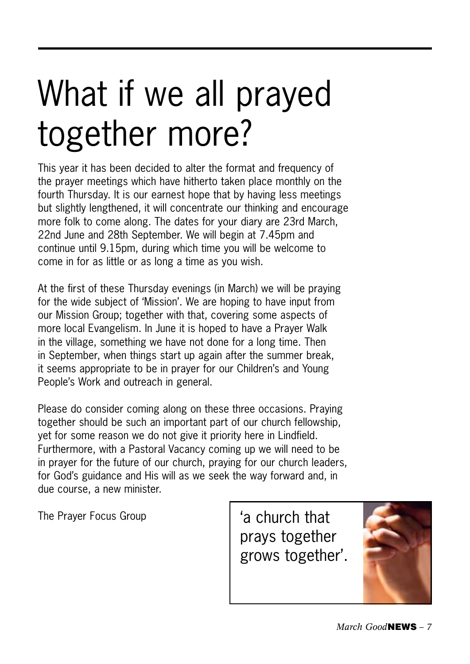# What if we all prayed together more?

This year it has been decided to alter the format and frequency of the prayer meetings which have hitherto taken place monthly on the fourth Thursday. It is our earnest hope that by having less meetings but slightly lengthened, it will concentrate our thinking and encourage more folk to come along. The dates for your diary are 23rd March, 22nd June and 28th September. We will begin at 7.45pm and continue until 9.15pm, during which time you will be welcome to come in for as little or as long a time as you wish.

At the first of these Thursday evenings (in March) we will be praying for the wide subject of 'Mission'. We are hoping to have input from our Mission Group; together with that, covering some aspects of more local Evangelism. In June it is hoped to have a Prayer Walk in the village, something we have not done for a long time. Then in September, when things start up again after the summer break, it seems appropriate to be in prayer for our Children's and Young People's Work and outreach in general.

Please do consider coming along on these three occasions. Praying together should be such an important part of our church fellowship, yet for some reason we do not give it priority here in Lindfield. Furthermore, with a Pastoral Vacancy coming up we will need to be in prayer for the future of our church, praying for our church leaders, for God's guidance and His will as we seek the way forward and, in due course, a new minister.

The Prayer Focus Group | 'a church that

prays together grows together'.

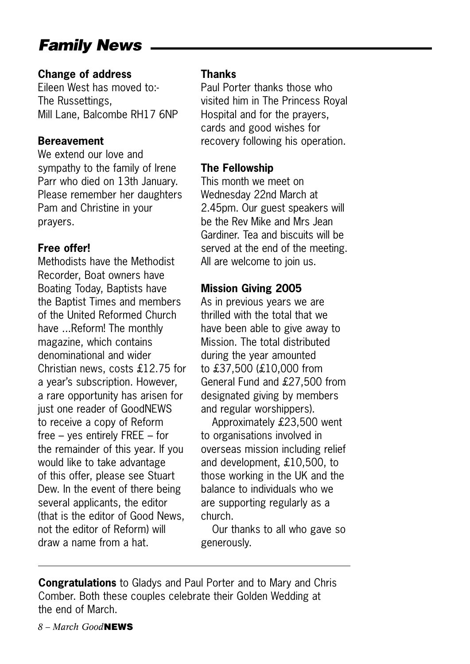## *Family News*

#### **Change of address**

Eileen West has moved to:- The Russettings, Mill Lane, Balcombe RH17 6NP

#### **Bereavement**

We extend our love and sympathy to the family of Irene Parr who died on 13th January. Please remember her daughters Pam and Christine in your prayers.

### **Free offer!**

Methodists have the Methodist Recorder, Boat owners have Boating Today, Baptists have the Baptist Times and members of the United Reformed Church have ...Reform! The monthly magazine, which contains denominational and wider Christian news, costs £12.75 for a year's subscription. However, a rare opportunity has arisen for just one reader of GoodNEWS to receive a copy of Reform free – yes entirely FREE – for the remainder of this year. If you would like to take advantage of this offer, please see Stuart Dew. In the event of there being several applicants, the editor (that is the editor of Good News, not the editor of Reform) will draw a name from a hat.

### **Thanks**

Paul Porter thanks those who visited him in The Princess Royal Hospital and for the prayers, cards and good wishes for recovery following his operation.

### **The Fellowship**

This month we meet on Wednesday 22nd March at 2.45pm. Our guest speakers will be the Rev Mike and Mrs Jean Gardiner. Tea and biscuits will be served at the end of the meeting. All are welcome to join us.

## **Mission Giving 2005**

As in previous years we are thrilled with the total that we have been able to give away to Mission. The total distributed during the year amounted to £37,500 (£10,000 from General Fund and £27,500 from designated giving by members and regular worshippers).

Approximately £23,500 went to organisations involved in overseas mission including relief and development, £10,500, to those working in the UK and the balance to individuals who we are supporting regularly as a church.

Our thanks to all who gave so generously.

**Congratulations** to Gladys and Paul Porter and to Mary and Chris Comber. Both these couples celebrate their Golden Wedding at the end of March.

 *– March Good*NEWS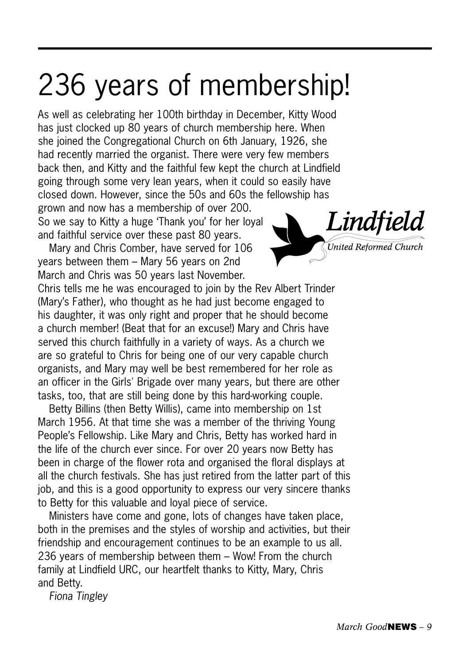## 236 years of membership!

As well as celebrating her 100th birthday in December, Kitty Wood has just clocked up 80 years of church membership here. When she joined the Congregational Church on 6th January, 1926, she had recently married the organist. There were very few members back then, and Kitty and the faithful few kept the church at Lindfield going through some very lean years, when it could so easily have closed down. However, since the 50s and 60s the fellowship has

grown and now has a membership of over 200. So we say to Kitty a huge 'Thank you' for her loyal and faithful service over these past 80 years.

Mary and Chris Comber, have served for 106 years between them – Mary 56 years on 2nd March and Chris was 50 years last November.

Chris tells me he was encouraged to join by the Rev Albert Trinder (Mary's Father), who thought as he had just become engaged to his daughter, it was only right and proper that he should become a church member! (Beat that for an excuse!) Mary and Chris have served this church faithfully in a variety of ways. As a church we are so grateful to Chris for being one of our very capable church organists, and Mary may well be best remembered for her role as an officer in the Girls' Brigade over many years, but there are other tasks, too, that are still being done by this hard-working couple.

Betty Billins (then Betty Willis), came into membership on 1st March 1956. At that time she was a member of the thriving Young People's Fellowship. Like Mary and Chris, Betty has worked hard in the life of the church ever since. For over 20 years now Betty has been in charge of the flower rota and organised the floral displays at all the church festivals. She has just retired from the latter part of this job, and this is a good opportunity to express our very sincere thanks to Betty for this valuable and loyal piece of service.

Ministers have come and gone, lots of changes have taken place, both in the premises and the styles of worship and activities, but their friendship and encouragement continues to be an example to us all. 236 years of membership between them – Wow! From the church family at Lindfield URC, our heartfelt thanks to Kitty, Mary, Chris and Betty.

*Fiona Tingley*

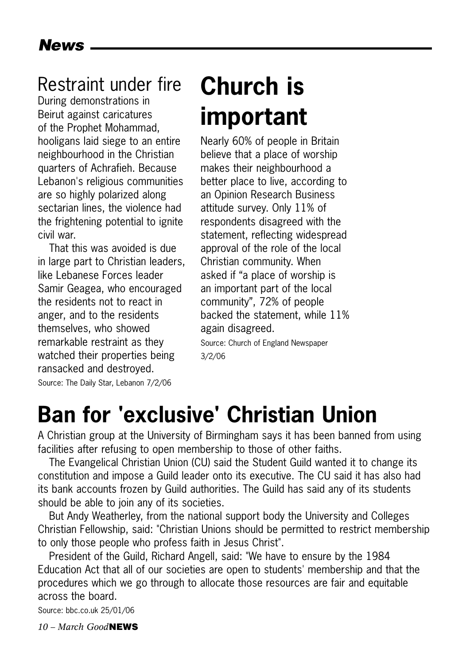## Restraint under fire

During demonstrations in Beirut against caricatures of the Prophet Mohammad, hooligans laid siege to an entire neighbourhood in the Christian quarters of Achrafieh. Because Lebanon's religious communities are so highly polarized along sectarian lines, the violence had the frightening potential to ignite civil war.

That this was avoided is due in large part to Christian leaders, like Lebanese Forces leader Samir Geagea, who encouraged the residents not to react in anger, and to the residents themselves, who showed remarkable restraint as they watched their properties being ransacked and destroyed. Source: The Daily Star, Lebanon 7/2/06

## **Church is important**

Nearly 60% of people in Britain believe that a place of worship makes their neighbourhood a better place to live, according to an Opinion Research Business attitude survey. Only 11% of respondents disagreed with the statement, reflecting widespread approval of the role of the local Christian community. When asked if "a place of worship is an important part of the local community", 72% of people backed the statement, while 11% again disagreed.

Source: Church of England Newspaper 3/2/06

## **Ban for 'exclusive' Christian Union**

A Christian group at the University of Birmingham says it has been banned from using facilities after refusing to open membership to those of other faiths.

The Evangelical Christian Union (CU) said the Student Guild wanted it to change its constitution and impose a Guild leader onto its executive. The CU said it has also had its bank accounts frozen by Guild authorities. The Guild has said any of its students should be able to join any of its societies.

But Andy Weatherley, from the national support body the University and Colleges Christian Fellowship, said: "Christian Unions should be permitted to restrict membership to only those people who profess faith in Jesus Christ".

President of the Guild, Richard Angell, said: "We have to ensure by the 1984 Education Act that all of our societies are open to students' membership and that the procedures which we go through to allocate those resources are fair and equitable across the board.

Source: bbc.co.uk 25/01/06

*10 – March Good*NEWS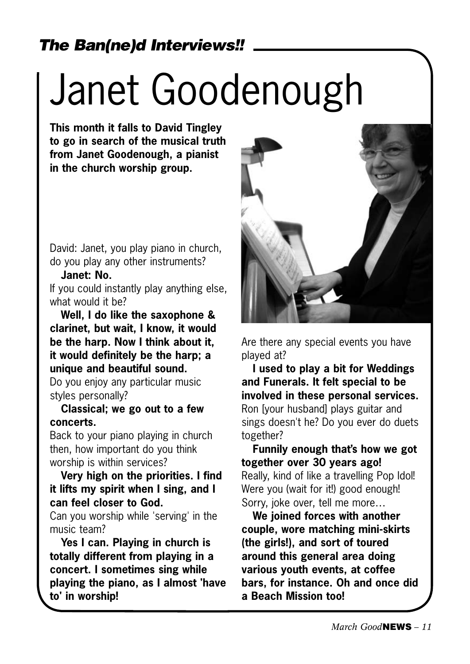## *The Ban(ne)d Interviews!!*

# Janet Goodenough

**This month it falls to David Tingley to go in search of the musical truth from Janet Goodenough, a pianist in the church worship group.**

David: Janet, you play piano in church, do you play any other instruments?

### **Janet: No.**

If you could instantly play anything else, what would it he?

**Well, I do like the saxophone & clarinet, but wait, I know, it would be the harp. Now I think about it, it would definitely be the harp; a unique and beautiful sound.** 

Do you enjoy any particular music styles personally?

**Classical; we go out to a few concerts.**

Back to your piano playing in church then, how important do you think worship is within services?

**Very high on the priorities. I find it lifts my spirit when I sing, and I can feel closer to God.**

Can you worship while 'serving' in the music team?

**Yes I can. Playing in church is totally different from playing in a concert. I sometimes sing while playing the piano, as I almost 'have to' in worship!**



Are there any special events you have played at?

**I used to play a bit for Weddings and Funerals. It felt special to be involved in these personal services.**  Ron [your husband] plays guitar and sings doesn't he? Do you ever do duets together?

**Funnily enough that's how we got together over 30 years ago!** Really, kind of like a travelling Pop Idol! Were you (wait for it!) good enough! Sorry, joke over, tell me more…

**We joined forces with another couple, wore matching mini-skirts (the girls!), and sort of toured around this general area doing various youth events, at coffee bars, for instance. Oh and once did a Beach Mission too!**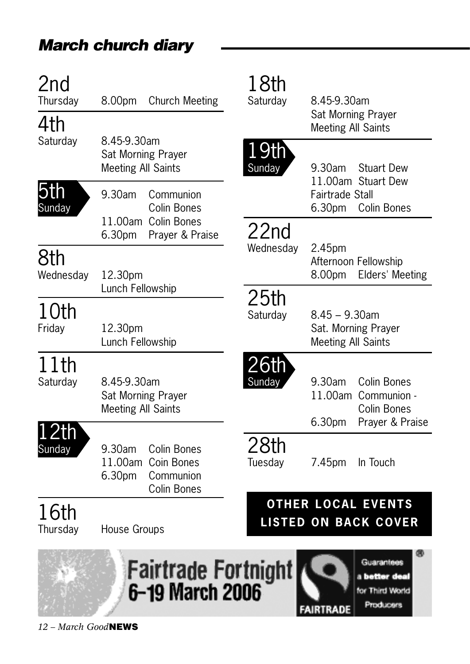## *March church diary*

| 2nd<br>Thursday<br>4th | <b>Church Meeting</b><br>8.00pm                                                          | 18th<br>Saturday              | 8.45-9.30am<br>Sat Morning Prayer<br><b>Meeting All Saints</b>                              |
|------------------------|------------------------------------------------------------------------------------------|-------------------------------|---------------------------------------------------------------------------------------------|
| Saturday               | 8.45-9.30am<br>Sat Morning Prayer<br><b>Meeting All Saints</b>                           | <u>19th</u><br>Sunday         | 9.30am<br><b>Stuart Dew</b><br>11.00am Stuart Dew                                           |
| 5th<br>Sunday          | 9.30am<br>Communion<br>Colin Bones<br>11.00am Colin Bones                                |                               | <b>Fairtrade Stall</b><br>6.30pm<br><b>Colin Bones</b>                                      |
| 8th<br>Wednesday       | 6.30pm<br>Prayer & Praise<br>12.30pm                                                     | 22 <sub>nd</sub><br>Wednesday | 2.45pm<br>Afternoon Fellowship<br>8.00pm<br>Elders' Meeting                                 |
| 10th<br>Friday         | Lunch Fellowship<br>12.30pm<br>Lunch Fellowship                                          | 25 <sub>th</sub><br>Saturday  | $8.45 - 9.30$ am<br>Sat. Morning Prayer<br><b>Meeting All Saints</b>                        |
| 11th<br>Saturday       | 8.45-9.30am<br>Sat Morning Prayer<br><b>Meeting All Saints</b>                           | <u>26th</u><br>Sunday         | 9.30am<br>Colin Bones<br>11.00am<br>Communion -<br>Colin Bones<br>6.30pm<br>Prayer & Praise |
| 2th<br>Sunday          | 9.30am<br><b>Colin Bones</b><br>11.00am Coin Bones<br>6.30pm<br>Communion<br>Colin Bones | 28th<br>Tuesday               | In Touch<br>7.45pm                                                                          |
| 16th<br>Thursday       | House Groups                                                                             |                               | <b>OTHER LOCAL EVENTS</b><br><b>LISTED ON BACK COVER</b>                                    |
|                        | Fairtrade Fortnight<br>6-19 March 2006                                                   |                               | Guarantees<br>a better <del>de</del> al<br>for Third World<br>Producers<br>FAIRTRADE        |

 $\label{eq:2.1} \frac{1}{\sqrt{2}}\left(\frac{1}{\sqrt{2}}\right)^{2} \left(\frac{1}{\sqrt{2}}\right)^{2} \left(\frac{1}{\sqrt{2}}\right)^{2} \left(\frac{1}{\sqrt{2}}\right)^{2} \left(\frac{1}{\sqrt{2}}\right)^{2} \left(\frac{1}{\sqrt{2}}\right)^{2} \left(\frac{1}{\sqrt{2}}\right)^{2} \left(\frac{1}{\sqrt{2}}\right)^{2} \left(\frac{1}{\sqrt{2}}\right)^{2} \left(\frac{1}{\sqrt{2}}\right)^{2} \left(\frac{1}{\sqrt{2}}\right)^{2} \left(\$ 

*12 – March Good*NEWS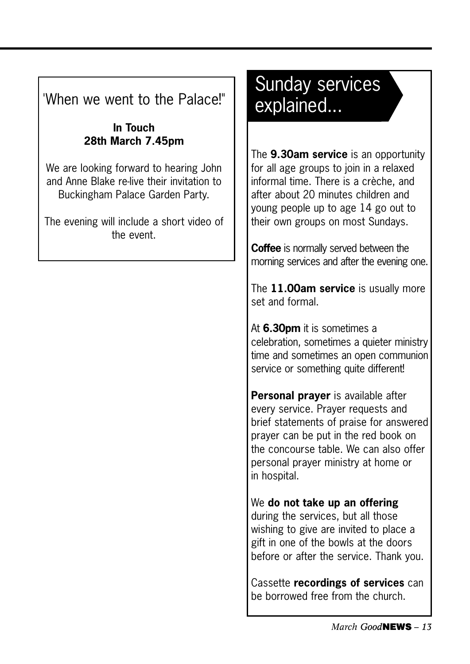'When we went to the Palace!"

### **In Touch 28th March 7.45pm**

We are looking forward to hearing John and Anne Blake re-live their invitation to Buckingham Palace Garden Party.

The evening will include a short video of the event.

## Sunday services explained...

The **9.30am service** is an opportunity for all age groups to join in a relaxed informal time. There is a crèche, and after about 20 minutes children and young people up to age 14 go out to their own groups on most Sundays.

**Coffee** is normally served between the morning services and after the evening one.

The **11.00am service** is usually more set and formal.

At **6.30pm** it is sometimes a celebration, sometimes a quieter ministry time and sometimes an open communion service or something quite different!

**Personal prayer** is available after every service. Prayer requests and brief statements of praise for answered prayer can be put in the red book on the concourse table. We can also offer personal prayer ministry at home or in hospital.

We **do not take up an offering** during the services, but all those wishing to give are invited to place a gift in one of the bowls at the doors before or after the service. Thank you.

Cassette **recordings of services** can be borrowed free from the church.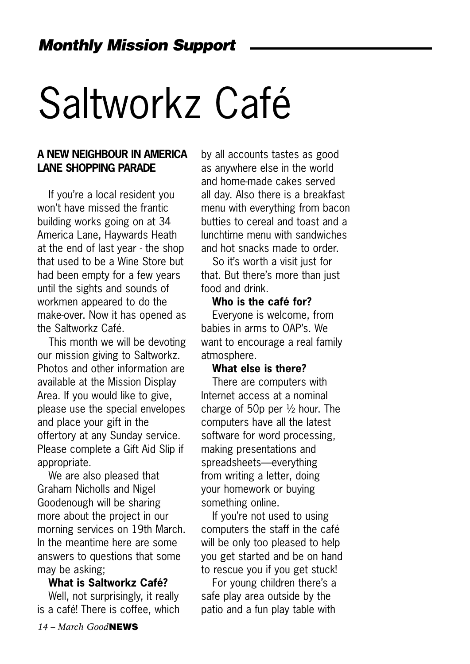# Saltworkz Café

#### **A NEW NEIGHBOUR IN AMERICA LANE SHOPPING PARADE**

If you're a local resident you won't have missed the frantic building works going on at 34 America Lane, Haywards Heath at the end of last year - the shop that used to be a Wine Store but had been empty for a few years until the sights and sounds of workmen appeared to do the make-over. Now it has opened as the Saltworkz Café.

This month we will be devoting our mission giving to Saltworkz. Photos and other information are available at the Mission Display Area. If you would like to give, please use the special envelopes and place your gift in the offertory at any Sunday service. Please complete a Gift Aid Slip if appropriate.

We are also pleased that Graham Nicholls and Nigel Goodenough will be sharing more about the project in our morning services on 19th March. In the meantime here are some answers to questions that some may be asking;

#### **What is Saltworkz Café?**

Well, not surprisingly, it really is a café! There is coffee, which by all accounts tastes as good as anywhere else in the world and home-made cakes served all day. Also there is a breakfast menu with everything from bacon butties to cereal and toast and a lunchtime menu with sandwiches and hot snacks made to order.

So it's worth a visit just for that. But there's more than just food and drink.

**Who is the café for?** Everyone is welcome, from babies in arms to OAP's. We want to encourage a real family atmosphere.

#### **What else is there?**

There are computers with Internet access at a nominal charge of 50p per ½ hour. The computers have all the latest software for word processing, making presentations and spreadsheets—everything from writing a letter, doing your homework or buying something online.

If you're not used to using computers the staff in the café will be only too pleased to help you get started and be on hand to rescue you if you get stuck!

For young children there's a safe play area outside by the patio and a fun play table with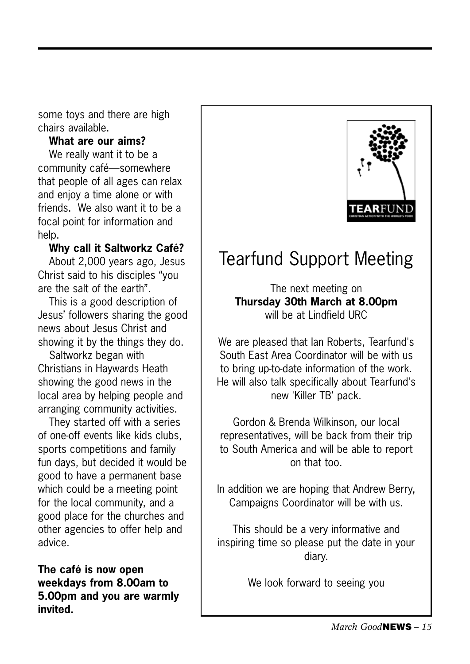some toys and there are high chairs available.

### **What are our aims?**

We really want it to be a community café—somewhere that people of all ages can relax and enjoy a time alone or with friends. We also want it to be a focal point for information and help.

### **Why call it Saltworkz Café?**

About 2,000 years ago, Jesus Christ said to his disciples "you are the salt of the earth".

This is a good description of Jesus' followers sharing the good news about Jesus Christ and showing it by the things they do.

Saltworkz began with Christians in Haywards Heath showing the good news in the local area by helping people and arranging community activities.

They started off with a series of one-off events like kids clubs, sports competitions and family fun days, but decided it would be good to have a permanent base which could be a meeting point for the local community, and a good place for the churches and other agencies to offer help and advice.

**The café is now open weekdays from 8.00am to 5.00pm and you are warmly invited.**



## Tearfund Support Meeting

The next meeting on **Thursday 30th March at 8.00pm** will be at Lindfield URC

We are pleased that Ian Roberts, Tearfund's South East Area Coordinator will be with us to bring up-to-date information of the work. He will also talk specifically about Tearfund's new 'Killer TB' pack.

Gordon & Brenda Wilkinson, our local representatives, will be back from their trip to South America and will be able to report on that too.

In addition we are hoping that Andrew Berry, Campaigns Coordinator will be with us.

This should be a very informative and inspiring time so please put the date in your diary.

We look forward to seeing you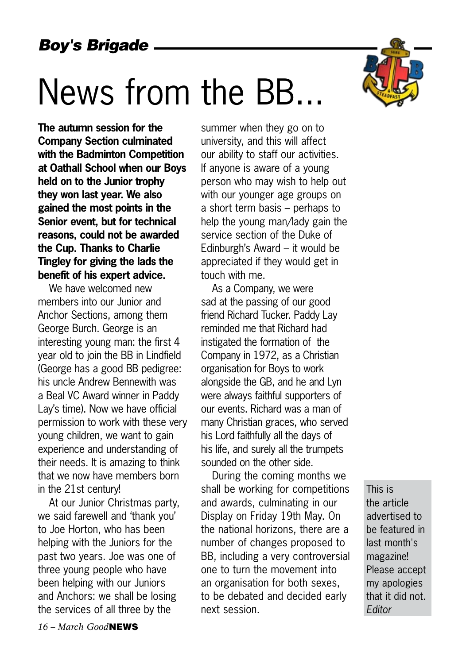## News from the BB...

**The autumn session for the Company Section culminated with the Badminton Competition at Oathall School when our Boys held on to the Junior trophy they won last year. We also gained the most points in the Senior event, but for technical reasons, could not be awarded the Cup. Thanks to Charlie Tingley for giving the lads the benefit of his expert advice.** 

We have welcomed new members into our Junior and Anchor Sections, among them George Burch. George is an interesting young man: the first 4 year old to join the BB in Lindfield (George has a good BB pedigree: his uncle Andrew Bennewith was a Beal VC Award winner in Paddy Lay's time). Now we have official permission to work with these very young children, we want to gain experience and understanding of their needs. It is amazing to think that we now have members born in the 21st century!

At our Junior Christmas party, we said farewell and 'thank you' to Joe Horton, who has been helping with the Juniors for the past two years. Joe was one of three young people who have been helping with our Juniors and Anchors: we shall be losing the services of all three by the

summer when they go on to university, and this will affect our ability to staff our activities. If anyone is aware of a young person who may wish to help out with our younger age groups on a short term basis – perhaps to help the young man/lady gain the service section of the Duke of Edinburgh's Award – it would be appreciated if they would get in touch with me.

As a Company, we were sad at the passing of our good friend Richard Tucker. Paddy Lay reminded me that Richard had instigated the formation of the Company in 1972, as a Christian organisation for Boys to work alongside the GB, and he and Lyn were always faithful supporters of our events. Richard was a man of many Christian graces, who served his Lord faithfully all the days of his life, and surely all the trumpets sounded on the other side.

During the coming months we shall be working for competitions and awards, culminating in our Display on Friday 19th May. On the national horizons, there are a number of changes proposed to BB, including a very controversial one to turn the movement into an organisation for both sexes, to be debated and decided early next session.

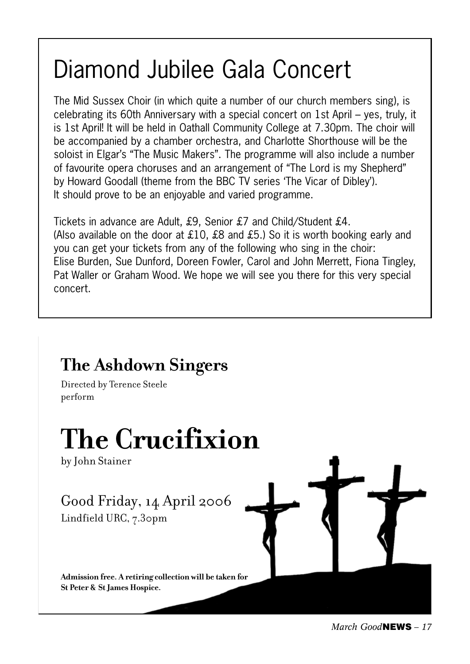## Diamond Jubilee Gala Concert

The Mid Sussex Choir (in which quite a number of our church members sing), is celebrating its 60th Anniversary with a special concert on 1st April – yes, truly, it is 1st April! It will be held in Oathall Community College at 7.30pm. The choir will be accompanied by a chamber orchestra, and Charlotte Shorthouse will be the soloist in Elgar's "The Music Makers". The programme will also include a number of favourite opera choruses and an arrangement of "The Lord is my Shepherd" by Howard Goodall (theme from the BBC TV series 'The Vicar of Dibley'). It should prove to be an enjoyable and varied programme.

Tickets in advance are Adult, £9, Senior £7 and Child/Student £4. (Also available on the door at £10, £8 and £5.) So it is worth booking early and you can get your tickets from any of the following who sing in the choir: Elise Burden, Sue Dunford, Doreen Fowler, Carol and John Merrett, Fiona Tingley, Pat Waller or Graham Wood. We hope we will see you there for this very special concert.

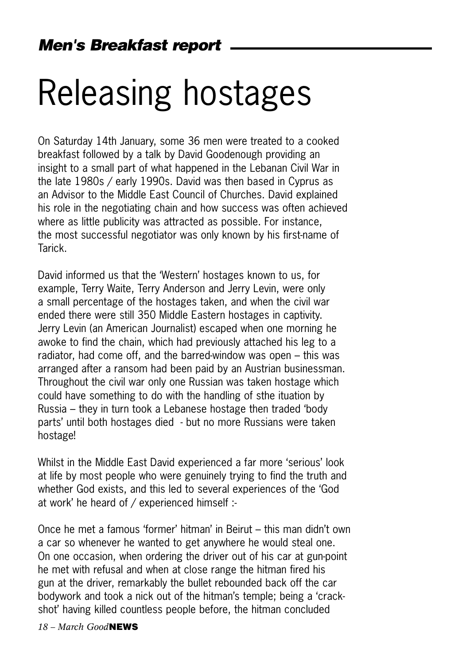## Releasing hostages

On Saturday 14th January, some 36 men were treated to a cooked breakfast followed by a talk by David Goodenough providing an insight to a small part of what happened in the Lebanan Civil War in the late 1980s / early 1990s. David was then based in Cyprus as an Advisor to the Middle East Council of Churches. David explained his role in the negotiating chain and how success was often achieved where as little publicity was attracted as possible. For instance, the most successful negotiator was only known by his first-name of Tarick.

David informed us that the 'Western' hostages known to us, for example, Terry Waite, Terry Anderson and Jerry Levin, were only a small percentage of the hostages taken, and when the civil war ended there were still 350 Middle Eastern hostages in captivity. Jerry Levin (an American Journalist) escaped when one morning he awoke to find the chain, which had previously attached his leg to a radiator, had come off, and the barred-window was open – this was arranged after a ransom had been paid by an Austrian businessman. Throughout the civil war only one Russian was taken hostage which could have something to do with the handling of sthe ituation by Russia – they in turn took a Lebanese hostage then traded 'body parts' until both hostages died - but no more Russians were taken hostage!

Whilst in the Middle East David experienced a far more 'serious' look at life by most people who were genuinely trying to find the truth and whether God exists, and this led to several experiences of the 'God at work' he heard of / experienced himself :-

Once he met a famous 'former' hitman' in Beirut – this man didn't own a car so whenever he wanted to get anywhere he would steal one. On one occasion, when ordering the driver out of his car at gun-point he met with refusal and when at close range the hitman fired his gun at the driver, remarkably the bullet rebounded back off the car bodywork and took a nick out of the hitman's temple; being a 'crackshot' having killed countless people before, the hitman concluded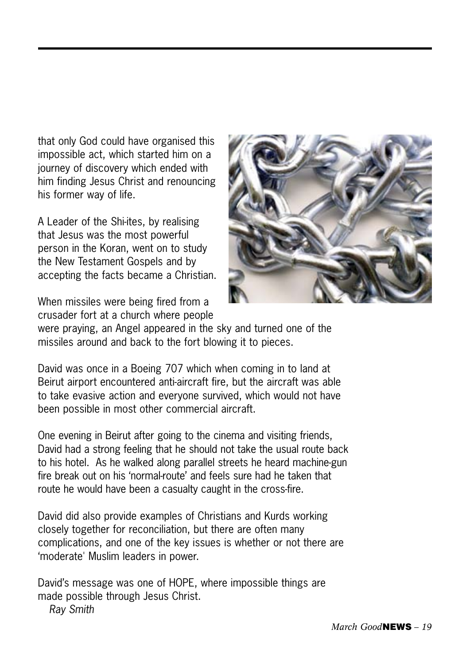that only God could have organised this impossible act, which started him on a journey of discovery which ended with him finding Jesus Christ and renouncing his former way of life.

A Leader of the Shi-ites, by realising that Jesus was the most powerful person in the Koran, went on to study the New Testament Gospels and by accepting the facts became a Christian.

When missiles were being fired from a crusader fort at a church where people



were praying, an Angel appeared in the sky and turned one of the missiles around and back to the fort blowing it to pieces.

David was once in a Boeing 707 which when coming in to land at Beirut airport encountered anti-aircraft fire, but the aircraft was able to take evasive action and everyone survived, which would not have been possible in most other commercial aircraft.

One evening in Beirut after going to the cinema and visiting friends, David had a strong feeling that he should not take the usual route back to his hotel. As he walked along parallel streets he heard machine-gun fire break out on his 'normal-route' and feels sure had he taken that route he would have been a casualty caught in the cross-fire.

David did also provide examples of Christians and Kurds working closely together for reconciliation, but there are often many complications, and one of the key issues is whether or not there are 'moderate' Muslim leaders in power.

David's message was one of HOPE, where impossible things are made possible through Jesus Christ. *Ray Smith*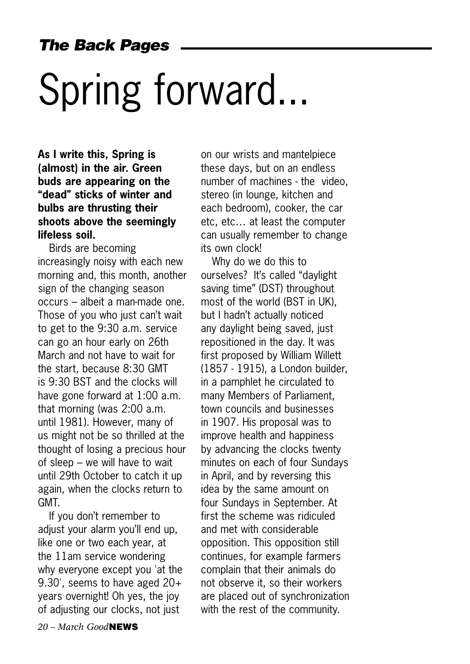*The Back Pages*

# Spring forward...

**As I write this, Spring is (almost) in the air. Green buds are appearing on the "dead" sticks of winter and bulbs are thrusting their shoots above the seemingly lifeless soil.** 

Birds are becoming increasingly noisy with each new morning and, this month, another sign of the changing season occurs – albeit a man-made one. Those of you who just can't wait to get to the 9:30 a.m. service can go an hour early on 26th March and not have to wait for the start, because 8:30 GMT is 9:30 BST and the clocks will have gone forward at 1:00 a.m. that morning (was 2:00 a.m. until 1981). However, many of us might not be so thrilled at the thought of losing a precious hour of sleep – we will have to wait until 29th October to catch it up again, when the clocks return to GMT.

If you don't remember to adjust your alarm you'll end up, like one or two each year, at the 11am service wondering why everyone except you 'at the 9.30', seems to have aged 20+ years overnight! Oh yes, the joy of adjusting our clocks, not just

on our wrists and mantelpiece these days, but on an endless number of machines - the video, stereo (in lounge, kitchen and each bedroom), cooker, the car etc, etc… at least the computer can usually remember to change its own clock!

Why do we do this to ourselves? It's called "daylight saving time" (DST) throughout most of the world (BST in UK), but I hadn't actually noticed any daylight being saved, just repositioned in the day. It was first proposed by William Willett (1857 - 1915), a London builder, in a pamphlet he circulated to many Members of Parliament, town councils and businesses in 1907. His proposal was to improve health and happiness by advancing the clocks twenty minutes on each of four Sundays in April, and by reversing this idea by the same amount on four Sundays in September. At first the scheme was ridiculed and met with considerable opposition. This opposition still continues, for example farmers complain that their animals do not observe it, so their workers are placed out of synchronization with the rest of the community.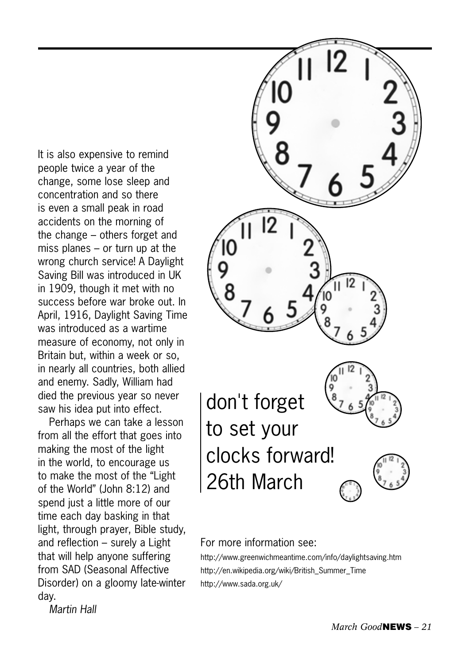It is also expensive to remind people twice a year of the change, some lose sleep and concentration and so there is even a small peak in road accidents on the morning of the change – others forget and miss planes – or turn up at the wrong church service! A Daylight Saving Bill was introduced in UK in 1909, though it met with no success before war broke out. In April, 1916, Daylight Saving Time was introduced as a wartime measure of economy, not only in Britain but, within a week or so, in nearly all countries, both allied and enemy. Sadly, William had died the previous year so never saw his idea put into effect.

Perhaps we can take a lesson from all the effort that goes into making the most of the light in the world, to encourage us to make the most of the "Light of the World" (John 8:12) and spend just a little more of our time each day basking in that light, through prayer, Bible study, and reflection – surely a Light that will help anyone suffering from SAD (Seasonal Affective Disorder) on a gloomy late-winter day.

*Martin Hall*



#### For more information see:

http://www.greenwichmeantime.com/info/daylightsaving.htm http://en.wikipedia.org/wiki/British\_Summer\_Time http://www.sada.org.uk/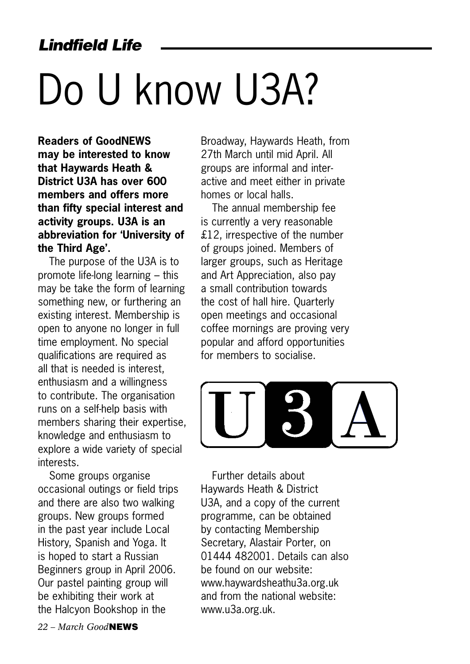# Do U know U3A?

**Readers of GoodNEWS may be interested to know that Haywards Heath & District U3A has over 600 members and offers more than fifty special interest and activity groups. U3A is an abbreviation for 'University of the Third Age'.** 

The purpose of the U3A is to promote life-long learning – this may be take the form of learning something new, or furthering an existing interest. Membership is open to anyone no longer in full time employment. No special qualifications are required as all that is needed is interest, enthusiasm and a willingness to contribute. The organisation runs on a self-help basis with members sharing their expertise, knowledge and enthusiasm to explore a wide variety of special interests.

Some groups organise occasional outings or field trips and there are also two walking groups. New groups formed in the past year include Local History, Spanish and Yoga. It is hoped to start a Russian Beginners group in April 2006. Our pastel painting group will be exhibiting their work at the Halcyon Bookshop in the

Broadway, Haywards Heath, from 27th March until mid April. All groups are informal and interactive and meet either in private homes or local halls.

The annual membership fee is currently a very reasonable £12, irrespective of the number of groups joined. Members of larger groups, such as Heritage and Art Appreciation, also pay a small contribution towards the cost of hall hire. Quarterly open meetings and occasional coffee mornings are proving very popular and afford opportunities for members to socialise.



Further details about Haywards Heath & District U3A, and a copy of the current programme, can be obtained by contacting Membership Secretary, Alastair Porter, on 01444 482001. Details can also be found on our website: www.haywardsheathu3a.org.uk and from the national website: www.u3a.org.uk.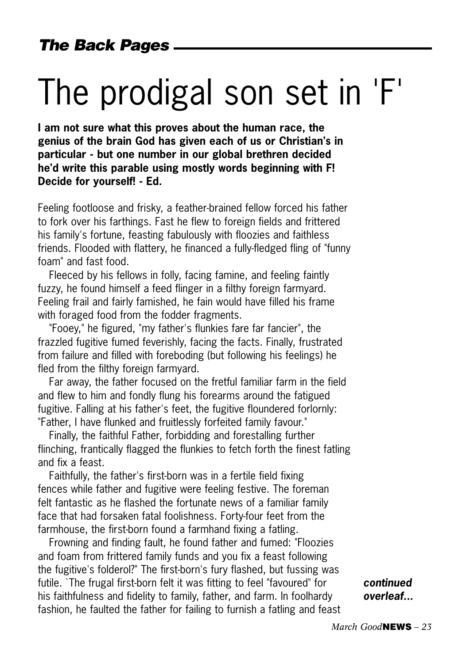## The prodigal son set in 'F'

**I am not sure what this proves about the human race, the genius of the brain God has given each of us or Christian's in particular - but one number in our global brethren decided he'd write this parable using mostly words beginning with F! Decide for yourself! - Ed.**

Feeling footloose and frisky, a feather-brained fellow forced his father to fork over his farthings. Fast he flew to foreign fields and frittered his family's fortune, feasting fabulously with floozies and faithless friends. Flooded with flattery, he financed a fully-fledged fling of "funny foam" and fast food.

Fleeced by his fellows in folly, facing famine, and feeling faintly fuzzy, he found himself a feed flinger in a filthy foreign farmyard. Feeling frail and fairly famished, he fain would have filled his frame with foraged food from the fodder fragments.

"Fooey," he figured, "my father's flunkies fare far fancier", the frazzled fugitive fumed feverishly, facing the facts. Finally, frustrated from failure and filled with foreboding (but following his feelings) he fled from the filthy foreign farmyard.

Far away, the father focused on the fretful familiar farm in the field and flew to him and fondly flung his forearms around the fatigued fugitive. Falling at his father's feet, the fugitive floundered forlornly: "Father, I have flunked and fruitlessly forfeited family favour."

Finally, the faithful Father, forbidding and forestalling further flinching, frantically flagged the flunkies to fetch forth the finest fatling and fix a feast.

Faithfully, the father's first-born was in a fertile field fixing fences while father and fugitive were feeling festive. The foreman felt fantastic as he flashed the fortunate news of a familiar family face that had forsaken fatal foolishness. Forty-four feet from the farmhouse, the first-born found a farmhand fixing a fatling.

Frowning and finding fault, he found father and fumed: "Floozies and foam from frittered family funds and you fix a feast following the fugitive's folderol?" The first-born's fury flashed, but fussing was futile. `The frugal first-born felt it was fitting to feel "favoured" for his faithfulness and fidelity to family, father, and farm. In foolhardy fashion, he faulted the father for failing to furnish a fatling and feast

*continued overleaf...*